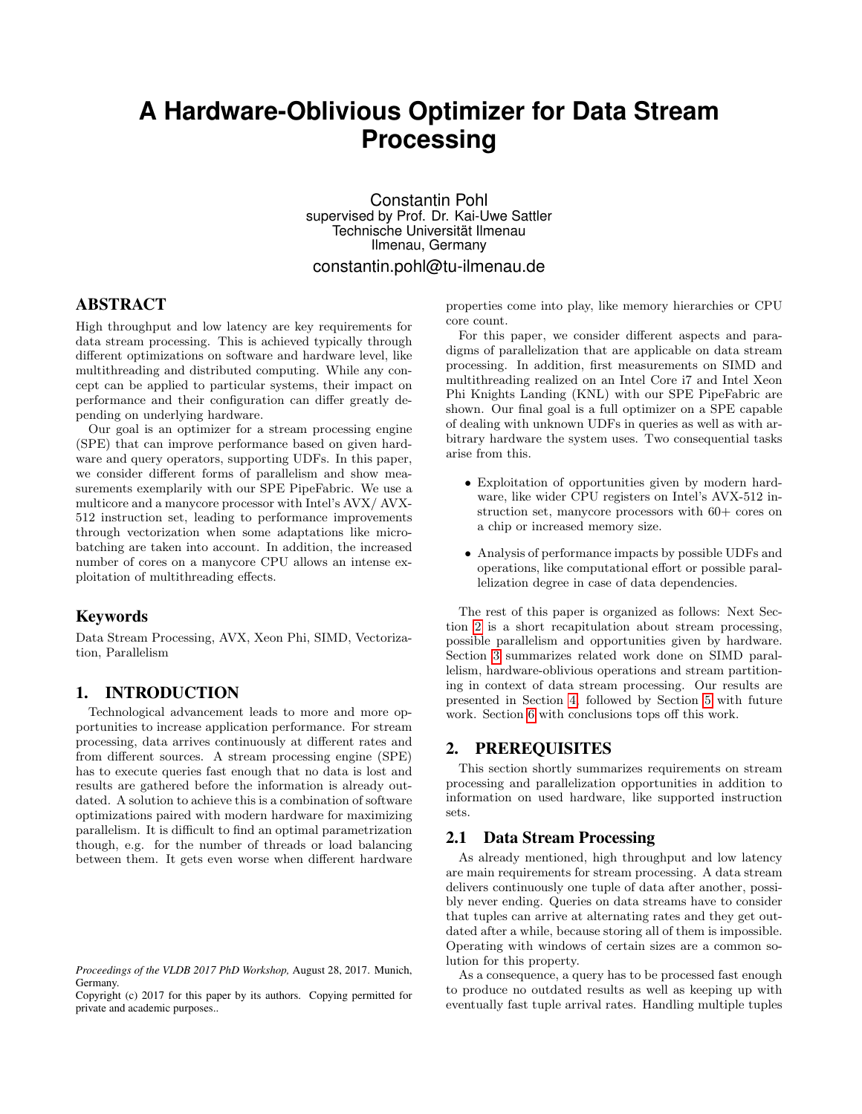# **A Hardware-Oblivious Optimizer for Data Stream Processing**

Constantin Pohl supervised by Prof. Dr. Kai-Uwe Sattler Technische Universität Ilmenau Ilmenau, Germany constantin.pohl@tu-ilmenau.de

# ABSTRACT

High throughput and low latency are key requirements for data stream processing. This is achieved typically through different optimizations on software and hardware level, like multithreading and distributed computing. While any concept can be applied to particular systems, their impact on performance and their configuration can differ greatly depending on underlying hardware.

Our goal is an optimizer for a stream processing engine (SPE) that can improve performance based on given hardware and query operators, supporting UDFs. In this paper, we consider different forms of parallelism and show measurements exemplarily with our SPE PipeFabric. We use a multicore and a manycore processor with Intel's AVX/ AVX-512 instruction set, leading to performance improvements through vectorization when some adaptations like microbatching are taken into account. In addition, the increased number of cores on a manycore CPU allows an intense exploitation of multithreading effects.

#### Keywords

Data Stream Processing, AVX, Xeon Phi, SIMD, Vectorization, Parallelism

# 1. INTRODUCTION

Technological advancement leads to more and more opportunities to increase application performance. For stream processing, data arrives continuously at different rates and from different sources. A stream processing engine (SPE) has to execute queries fast enough that no data is lost and results are gathered before the information is already outdated. A solution to achieve this is a combination of software optimizations paired with modern hardware for maximizing parallelism. It is difficult to find an optimal parametrization though, e.g. for the number of threads or load balancing between them. It gets even worse when different hardware properties come into play, like memory hierarchies or CPU core count.

For this paper, we consider different aspects and paradigms of parallelization that are applicable on data stream processing. In addition, first measurements on SIMD and multithreading realized on an Intel Core i7 and Intel Xeon Phi Knights Landing (KNL) with our SPE PipeFabric are shown. Our final goal is a full optimizer on a SPE capable of dealing with unknown UDFs in queries as well as with arbitrary hardware the system uses. Two consequential tasks arise from this.

- Exploitation of opportunities given by modern hardware, like wider CPU registers on Intel's AVX-512 instruction set, manycore processors with 60+ cores on a chip or increased memory size.
- Analysis of performance impacts by possible UDFs and operations, like computational effort or possible parallelization degree in case of data dependencies.

The rest of this paper is organized as follows: Next Section [2](#page-0-0) is a short recapitulation about stream processing, possible parallelism and opportunities given by hardware. Section [3](#page-1-0) summarizes related work done on SIMD parallelism, hardware-oblivious operations and stream partitioning in context of data stream processing. Our results are presented in Section [4,](#page-2-0) followed by Section [5](#page-3-0) with future work. Section [6](#page-3-1) with conclusions tops off this work.

# <span id="page-0-0"></span>2. PREREQUISITES

This section shortly summarizes requirements on stream processing and parallelization opportunities in addition to information on used hardware, like supported instruction sets.

# 2.1 Data Stream Processing

As already mentioned, high throughput and low latency are main requirements for stream processing. A data stream delivers continuously one tuple of data after another, possibly never ending. Queries on data streams have to consider that tuples can arrive at alternating rates and they get outdated after a while, because storing all of them is impossible. Operating with windows of certain sizes are a common solution for this property.

As a consequence, a query has to be processed fast enough to produce no outdated results as well as keeping up with eventually fast tuple arrival rates. Handling multiple tuples

*Proceedings of the VLDB 2017 PhD Workshop,* August 28, 2017. Munich, Germany.

Copyright (c) 2017 for this paper by its authors. Copying permitted for private and academic purposes..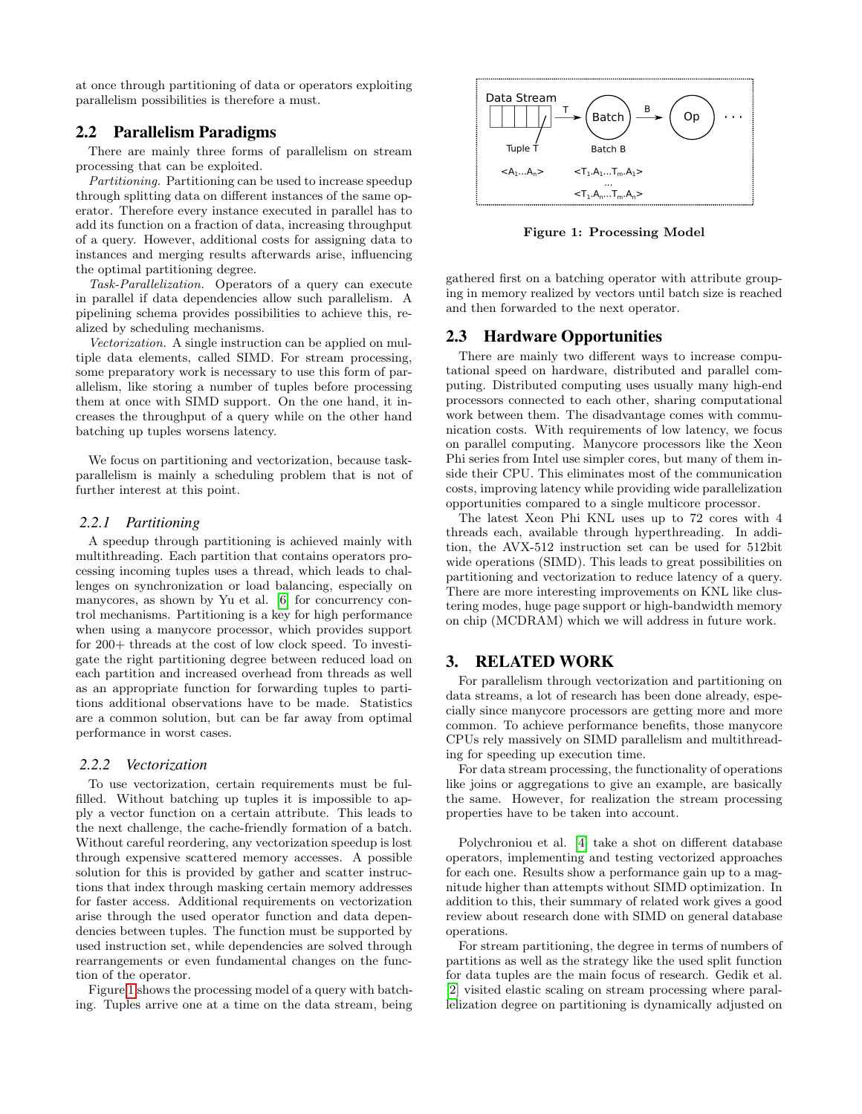at once through partitioning of data or operators exploiting parallelism possibilities is therefore a must.

# 2.2 Parallelism Paradigms

There are mainly three forms of parallelism on stream processing that can be exploited.

Partitioning. Partitioning can be used to increase speedup through splitting data on different instances of the same operator. Therefore every instance executed in parallel has to add its function on a fraction of data, increasing throughput of a query. However, additional costs for assigning data to instances and merging results afterwards arise, influencing the optimal partitioning degree.

Task-Parallelization. Operators of a query can execute in parallel if data dependencies allow such parallelism. A pipelining schema provides possibilities to achieve this, realized by scheduling mechanisms.

Vectorization. A single instruction can be applied on multiple data elements, called SIMD. For stream processing, some preparatory work is necessary to use this form of parallelism, like storing a number of tuples before processing them at once with SIMD support. On the one hand, it increases the throughput of a query while on the other hand batching up tuples worsens latency.

We focus on partitioning and vectorization, because taskparallelism is mainly a scheduling problem that is not of further interest at this point.

#### *2.2.1 Partitioning*

A speedup through partitioning is achieved mainly with multithreading. Each partition that contains operators processing incoming tuples uses a thread, which leads to challenges on synchronization or load balancing, especially on manycores, as shown by Yu et al. [\[6\]](#page-3-2) for concurrency control mechanisms. Partitioning is a key for high performance when using a manycore processor, which provides support for 200+ threads at the cost of low clock speed. To investigate the right partitioning degree between reduced load on each partition and increased overhead from threads as well as an appropriate function for forwarding tuples to partitions additional observations have to be made. Statistics are a common solution, but can be far away from optimal performance in worst cases.

#### *2.2.2 Vectorization*

To use vectorization, certain requirements must be fulfilled. Without batching up tuples it is impossible to apply a vector function on a certain attribute. This leads to the next challenge, the cache-friendly formation of a batch. Without careful reordering, any vectorization speedup is lost through expensive scattered memory accesses. A possible solution for this is provided by gather and scatter instructions that index through masking certain memory addresses for faster access. Additional requirements on vectorization arise through the used operator function and data dependencies between tuples. The function must be supported by used instruction set, while dependencies are solved through rearrangements or even fundamental changes on the function of the operator.

Figure [1](#page-1-1) shows the processing model of a query with batching. Tuples arrive one at a time on the data stream, being



<span id="page-1-1"></span>Figure 1: Processing Model

gathered first on a batching operator with attribute grouping in memory realized by vectors until batch size is reached and then forwarded to the next operator.

#### 2.3 Hardware Opportunities

There are mainly two different ways to increase computational speed on hardware, distributed and parallel computing. Distributed computing uses usually many high-end processors connected to each other, sharing computational work between them. The disadvantage comes with communication costs. With requirements of low latency, we focus on parallel computing. Manycore processors like the Xeon Phi series from Intel use simpler cores, but many of them inside their CPU. This eliminates most of the communication costs, improving latency while providing wide parallelization opportunities compared to a single multicore processor.

The latest Xeon Phi KNL uses up to 72 cores with 4 threads each, available through hyperthreading. In addition, the AVX-512 instruction set can be used for 512bit wide operations (SIMD). This leads to great possibilities on partitioning and vectorization to reduce latency of a query. There are more interesting improvements on KNL like clustering modes, huge page support or high-bandwidth memory on chip (MCDRAM) which we will address in future work.

#### <span id="page-1-0"></span>3. RELATED WORK

For parallelism through vectorization and partitioning on data streams, a lot of research has been done already, especially since manycore processors are getting more and more common. To achieve performance benefits, those manycore CPUs rely massively on SIMD parallelism and multithreading for speeding up execution time.

For data stream processing, the functionality of operations like joins or aggregations to give an example, are basically the same. However, for realization the stream processing properties have to be taken into account.

Polychroniou et al. [\[4\]](#page-3-3) take a shot on different database operators, implementing and testing vectorized approaches for each one. Results show a performance gain up to a magnitude higher than attempts without SIMD optimization. In addition to this, their summary of related work gives a good review about research done with SIMD on general database operations.

For stream partitioning, the degree in terms of numbers of partitions as well as the strategy like the used split function for data tuples are the main focus of research. Gedik et al. [\[2\]](#page-3-4) visited elastic scaling on stream processing where parallelization degree on partitioning is dynamically adjusted on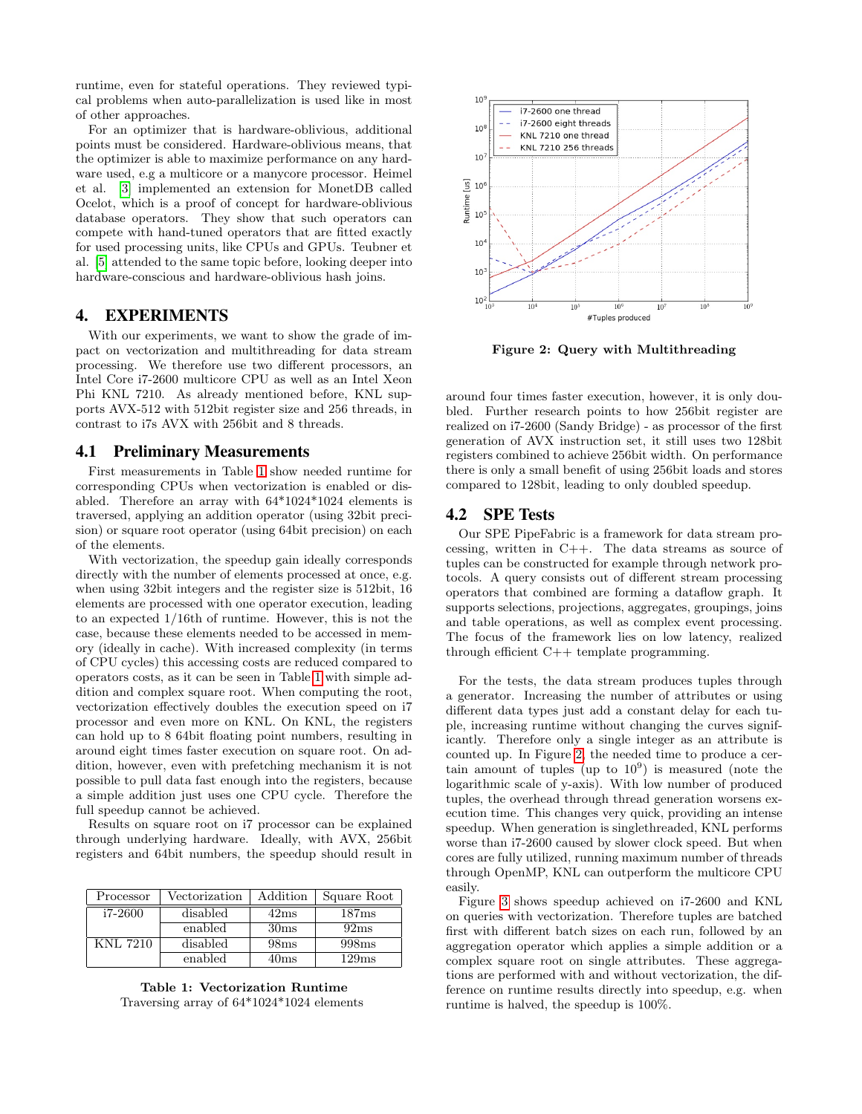runtime, even for stateful operations. They reviewed typical problems when auto-parallelization is used like in most of other approaches.

For an optimizer that is hardware-oblivious, additional points must be considered. Hardware-oblivious means, that the optimizer is able to maximize performance on any hardware used, e.g a multicore or a manycore processor. Heimel et al. [\[3\]](#page-3-5) implemented an extension for MonetDB called Ocelot, which is a proof of concept for hardware-oblivious database operators. They show that such operators can compete with hand-tuned operators that are fitted exactly for used processing units, like CPUs and GPUs. Teubner et al. [\[5\]](#page-3-6) attended to the same topic before, looking deeper into hardware-conscious and hardware-oblivious hash joins.

# <span id="page-2-0"></span>4. EXPERIMENTS

With our experiments, we want to show the grade of impact on vectorization and multithreading for data stream processing. We therefore use two different processors, an Intel Core i7-2600 multicore CPU as well as an Intel Xeon Phi KNL 7210. As already mentioned before, KNL supports AVX-512 with 512bit register size and 256 threads, in contrast to i7s AVX with 256bit and 8 threads.

#### 4.1 Preliminary Measurements

First measurements in Table [1](#page-2-1) show needed runtime for corresponding CPUs when vectorization is enabled or disabled. Therefore an array with 64\*1024\*1024 elements is traversed, applying an addition operator (using 32bit precision) or square root operator (using 64bit precision) on each of the elements.

With vectorization, the speedup gain ideally corresponds directly with the number of elements processed at once, e.g. when using 32bit integers and the register size is 512bit, 16 elements are processed with one operator execution, leading to an expected 1/16th of runtime. However, this is not the case, because these elements needed to be accessed in memory (ideally in cache). With increased complexity (in terms of CPU cycles) this accessing costs are reduced compared to operators costs, as it can be seen in Table [1](#page-2-1) with simple addition and complex square root. When computing the root, vectorization effectively doubles the execution speed on i7 processor and even more on KNL. On KNL, the registers can hold up to 8 64bit floating point numbers, resulting in around eight times faster execution on square root. On addition, however, even with prefetching mechanism it is not possible to pull data fast enough into the registers, because a simple addition just uses one CPU cycle. Therefore the full speedup cannot be achieved.

Results on square root on i7 processor can be explained through underlying hardware. Ideally, with AVX, 256bit registers and 64bit numbers, the speedup should result in

| Processor | Vectorization | Addition         | Square Root |
|-----------|---------------|------------------|-------------|
| i7-2600   | disabled      | 42ms             | 187ms       |
|           | enabled       | 30 <sub>ms</sub> | 92ms        |
| KNL 7210  | disabled      | 98ms             | 998ms       |
|           | enabled       | 40ms             | 129ms       |

<span id="page-2-1"></span>Table 1: Vectorization Runtime Traversing array of 64\*1024\*1024 elements



<span id="page-2-2"></span>Figure 2: Query with Multithreading

around four times faster execution, however, it is only doubled. Further research points to how 256bit register are realized on i7-2600 (Sandy Bridge) - as processor of the first generation of AVX instruction set, it still uses two 128bit registers combined to achieve 256bit width. On performance there is only a small benefit of using 256bit loads and stores compared to 128bit, leading to only doubled speedup.

#### 4.2 SPE Tests

Our SPE PipeFabric is a framework for data stream processing, written in C++. The data streams as source of tuples can be constructed for example through network protocols. A query consists out of different stream processing operators that combined are forming a dataflow graph. It supports selections, projections, aggregates, groupings, joins and table operations, as well as complex event processing. The focus of the framework lies on low latency, realized through efficient C++ template programming.

For the tests, the data stream produces tuples through a generator. Increasing the number of attributes or using different data types just add a constant delay for each tuple, increasing runtime without changing the curves significantly. Therefore only a single integer as an attribute is counted up. In Figure [2,](#page-2-2) the needed time to produce a certain amount of tuples (up to  $10^9$ ) is measured (note the logarithmic scale of y-axis). With low number of produced tuples, the overhead through thread generation worsens execution time. This changes very quick, providing an intense speedup. When generation is singlethreaded, KNL performs worse than i7-2600 caused by slower clock speed. But when cores are fully utilized, running maximum number of threads through OpenMP, KNL can outperform the multicore CPU easily.

Figure [3](#page-3-7) shows speedup achieved on i7-2600 and KNL on queries with vectorization. Therefore tuples are batched first with different batch sizes on each run, followed by an aggregation operator which applies a simple addition or a complex square root on single attributes. These aggregations are performed with and without vectorization, the difference on runtime results directly into speedup, e.g. when runtime is halved, the speedup is 100%.